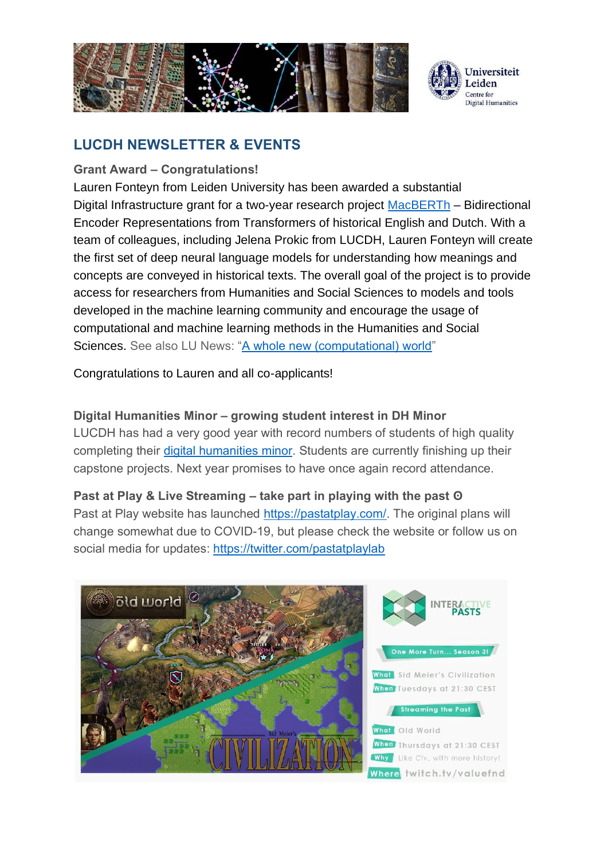



# **LUCDH NEWSLETTER & EVENTS**

## **Grant Award – Congratulations!**

Lauren Fonteyn from Leiden University has been awarded a substantial Digital Infrastructure grant for a two-year research project [MacBERTh](https://pdi-ssh.nl/en/2020/06/funded-projects-2020-call/) – Bidirectional Encoder Representations from Transformers of historical English and Dutch. With a team of colleagues, including Jelena Prokic from LUCDH, Lauren Fonteyn will create the first set of deep neural language models for understanding how meanings and concepts are conveyed in historical texts. The overall goal of the project is to provide access for researchers from Humanities and Social Sciences to models and tools developed in the machine learning community and encourage the usage of computational and machine learning methods in the Humanities and Social Sciences. See also LU News: ["A whole new \(computational\) world"](https://www.universiteitleiden.nl/en/news/2020/06/a-whole-new-computational-world)

Congratulations to Lauren and all co-applicants!

# **Digital Humanities Minor – growing student interest in DH Minor**

LUCDH has had a very good year with record numbers of students of high quality completing their [digital humanities minor.](https://www.universiteitleiden.nl/binaries/content/assets/geesteswetenschappen/lucdh/dh-minor/7may2020_lucdh-minor-digital-flyer-minimum.pdf) Students are currently finishing up their capstone projects. Next year promises to have once again record attendance.

#### **Past at Play & Live Streaming – take part in playing with the past ʘ**

Past at Play website has launched [https://pastatplay.com/.](https://pastatplay.com/) The original plans will change somewhat due to COVID-19, but please check the website or follow us on social media for updates:<https://twitter.com/pastatplaylab>